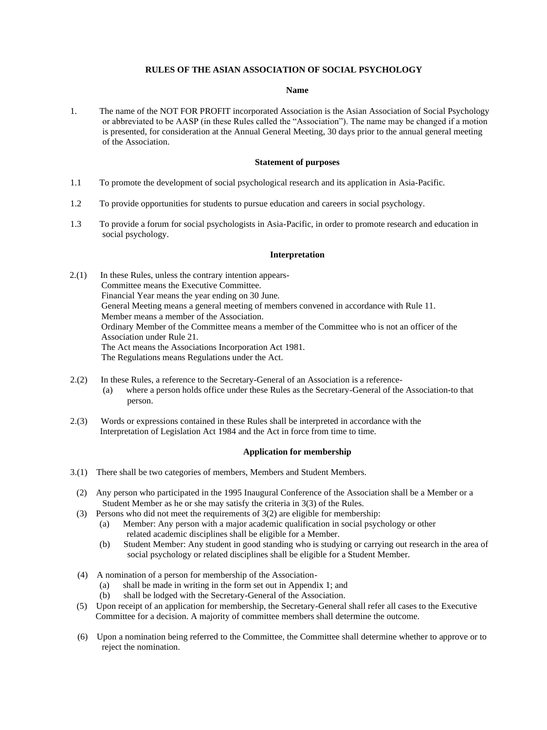## **RULES OF THE ASIAN ASSOCIATION OF SOCIAL PSYCHOLOGY**

## **Name**

1. The name of the NOT FOR PROFIT incorporated Association is the Asian Association of Social Psychology or abbreviated to be AASP (in these Rules called the "Association"). The name may be changed if a motion is presented, for consideration at the Annual General Meeting, 30 days prior to the annual general meeting of the Association.

#### **Statement of purposes**

- 1.1 To promote the development of social psychological research and its application in Asia-Pacific.
- 1.2 To provide opportunities for students to pursue education and careers in social psychology.
- 1.3 To provide a forum for social psychologists in Asia-Pacific, in order to promote research and education in social psychology.

#### **Interpretation**

- 2.(1) In these Rules, unless the contrary intention appears-Committee means the Executive Committee. Financial Year means the year ending on 30 June. General Meeting means a general meeting of members convened in accordance with Rule 11. Member means a member of the Association. Ordinary Member of the Committee means a member of the Committee who is not an officer of the Association under Rule 21. The Act means the Associations Incorporation Act 1981. The Regulations means Regulations under the Act.
- 2.(2) In these Rules, a reference to the Secretary-General of an Association is a reference- (a) where a person holds office under these Rules as the Secretary-General of the Association-to that person.
- 2.(3) Words or expressions contained in these Rules shall be interpreted in accordance with the Interpretation of Legislation Act 1984 and the Act in force from time to time.

## **Application for membership**

- 3.(1) There shall be two categories of members, Members and Student Members.
- (2) Any person who participated in the 1995 Inaugural Conference of the Association shall be a Member or a Student Member as he or she may satisfy the criteria in 3(3) of the Rules.
- (3) Persons who did not meet the requirements of 3(2) are eligible for membership:
	- (a) Member: Any person with a major academic qualification in social psychology or other related academic disciplines shall be eligible for a Member.
	- (b) Student Member: Any student in good standing who is studying or carrying out research in the area of social psychology or related disciplines shall be eligible for a Student Member.
- (4) A nomination of a person for membership of the Association-
	- (a) shall be made in writing in the form set out in Appendix 1; and
	- (b) shall be lodged with the Secretary-General of the Association.
- (5) Upon receipt of an application for membership, the Secretary-General shall refer all cases to the Executive Committee for a decision. A majority of committee members shall determine the outcome.
- (6) Upon a nomination being referred to the Committee, the Committee shall determine whether to approve or to reject the nomination.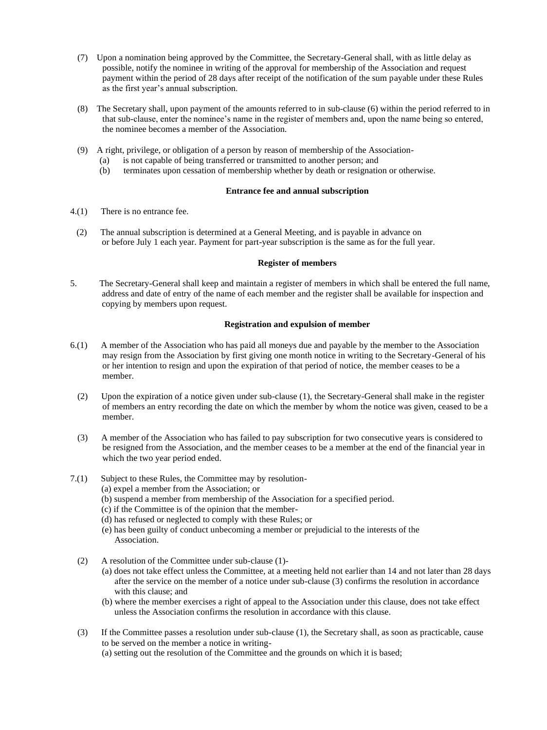- (7) Upon a nomination being approved by the Committee, the Secretary-General shall, with as little delay as possible, notify the nominee in writing of the approval for membership of the Association and request payment within the period of 28 days after receipt of the notification of the sum payable under these Rules as the first year's annual subscription.
- (8) The Secretary shall, upon payment of the amounts referred to in sub-clause (6) within the period referred to in that sub-clause, enter the nominee's name in the register of members and, upon the name being so entered, the nominee becomes a member of the Association.
- (9) A right, privilege, or obligation of a person by reason of membership of the Association-
	- (a) is not capable of being transferred or transmitted to another person; and
	- (b) terminates upon cessation of membership whether by death or resignation or otherwise.

## **Entrance fee and annual subscription**

- 4.(1) There is no entrance fee.
	- (2) The annual subscription is determined at a General Meeting, and is payable in advance on or before July 1 each year. Payment for part-year subscription is the same as for the full year.

## **Register of members**

5. The Secretary-General shall keep and maintain a register of members in which shall be entered the full name, address and date of entry of the name of each member and the register shall be available for inspection and copying by members upon request.

## **Registration and expulsion of member**

- 6.(1) A member of the Association who has paid all moneys due and payable by the member to the Association may resign from the Association by first giving one month notice in writing to the Secretary-General of his or her intention to resign and upon the expiration of that period of notice, the member ceases to be a member.
	- (2) Upon the expiration of a notice given under sub-clause (1), the Secretary-General shall make in the register of members an entry recording the date on which the member by whom the notice was given, ceased to be a member.
	- (3) A member of the Association who has failed to pay subscription for two consecutive years is considered to be resigned from the Association, and the member ceases to be a member at the end of the financial year in which the two year period ended.
- 7.(1) Subject to these Rules, the Committee may by resolution-
	- (a) expel a member from the Association; or
	- (b) suspend a member from membership of the Association for a specified period.
	- (c) if the Committee is of the opinion that the member-
	- (d) has refused or neglected to comply with these Rules; or
	- (e) has been guilty of conduct unbecoming a member or prejudicial to the interests of the Association.
	- (2) A resolution of the Committee under sub-clause (1)-
		- (a) does not take effect unless the Committee, at a meeting held not earlier than 14 and not later than 28 days after the service on the member of a notice under sub-clause (3) confirms the resolution in accordance with this clause; and
		- (b) where the member exercises a right of appeal to the Association under this clause, does not take effect unless the Association confirms the resolution in accordance with this clause.
	- (3) If the Committee passes a resolution under sub-clause (1), the Secretary shall, as soon as practicable, cause to be served on the member a notice in writing-
		- (a) setting out the resolution of the Committee and the grounds on which it is based;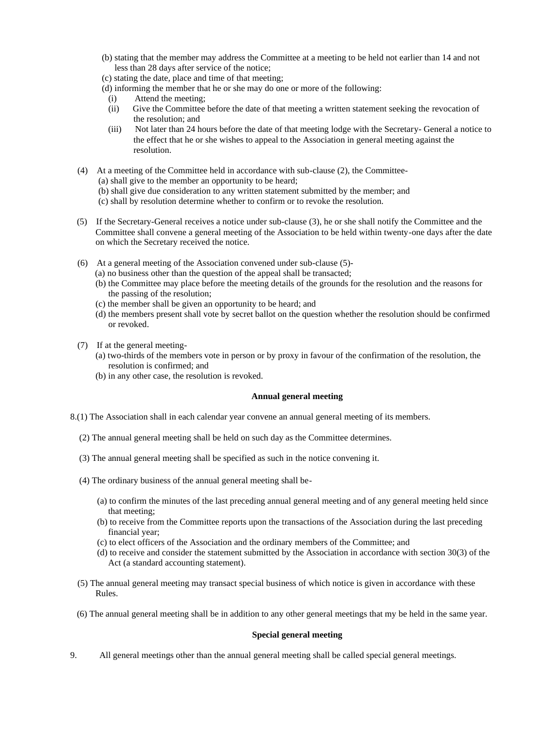- (b) stating that the member may address the Committee at a meeting to be held not earlier than 14 and not less than 28 days after service of the notice;
- (c) stating the date, place and time of that meeting;
- (d) informing the member that he or she may do one or more of the following:
- (i) Attend the meeting;
- (ii) Give the Committee before the date of that meeting a written statement seeking the revocation of the resolution; and
- (iii) Not later than 24 hours before the date of that meeting lodge with the Secretary- General a notice to the effect that he or she wishes to appeal to the Association in general meeting against the resolution.
- (4) At a meeting of the Committee held in accordance with sub-clause (2), the Committee-
	- (a) shall give to the member an opportunity to be heard; (b) shall give due consideration to any written statement submitted by the member; and
	- (c) shall by resolution determine whether to confirm or to revoke the resolution.
- (5) If the Secretary-General receives a notice under sub-clause (3), he or she shall notify the Committee and the Committee shall convene a general meeting of the Association to be held within twenty-one days after the date on which the Secretary received the notice.
- (6) At a general meeting of the Association convened under sub-clause (5)-
	- (a) no business other than the question of the appeal shall be transacted;
	- (b) the Committee may place before the meeting details of the grounds for the resolution and the reasons for the passing of the resolution;
	- (c) the member shall be given an opportunity to be heard; and
	- (d) the members present shall vote by secret ballot on the question whether the resolution should be confirmed or revoked.
- (7) If at the general meeting-
	- (a) two-thirds of the members vote in person or by proxy in favour of the confirmation of the resolution, the resolution is confirmed; and
	- (b) in any other case, the resolution is revoked.

## **Annual general meeting**

- 8.(1) The Association shall in each calendar year convene an annual general meeting of its members.
	- (2) The annual general meeting shall be held on such day as the Committee determines.
	- (3) The annual general meeting shall be specified as such in the notice convening it.
	- (4) The ordinary business of the annual general meeting shall be-
		- (a) to confirm the minutes of the last preceding annual general meeting and of any general meeting held since that meeting;
		- (b) to receive from the Committee reports upon the transactions of the Association during the last preceding financial year;
		- (c) to elect officers of the Association and the ordinary members of the Committee; and
		- (d) to receive and consider the statement submitted by the Association in accordance with section 30(3) of the Act (a standard accounting statement).
	- (5) The annual general meeting may transact special business of which notice is given in accordance with these Rules.
	- (6) The annual general meeting shall be in addition to any other general meetings that my be held in the same year.

## **Special general meeting**

9. All general meetings other than the annual general meeting shall be called special general meetings.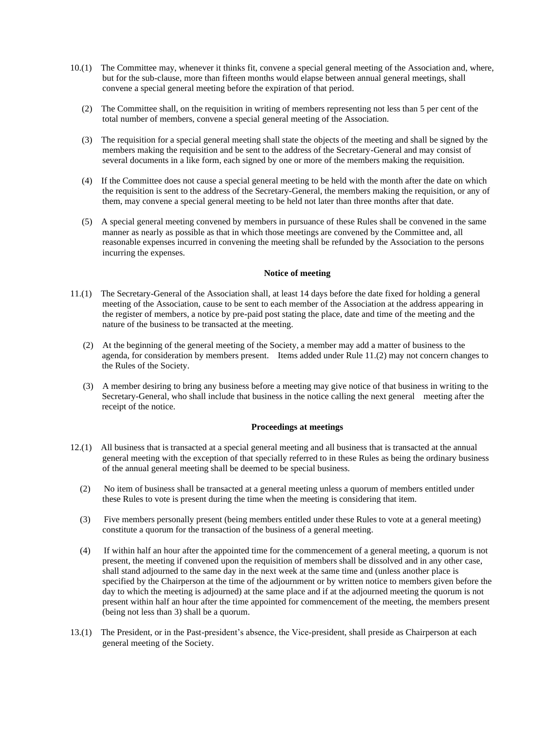- 10.(1) The Committee may, whenever it thinks fit, convene a special general meeting of the Association and, where, but for the sub-clause, more than fifteen months would elapse between annual general meetings, shall convene a special general meeting before the expiration of that period.
	- (2) The Committee shall, on the requisition in writing of members representing not less than 5 per cent of the total number of members, convene a special general meeting of the Association.
	- (3) The requisition for a special general meeting shall state the objects of the meeting and shall be signed by the members making the requisition and be sent to the address of the Secretary-General and may consist of several documents in a like form, each signed by one or more of the members making the requisition.
	- (4) If the Committee does not cause a special general meeting to be held with the month after the date on which the requisition is sent to the address of the Secretary-General, the members making the requisition, or any of them, may convene a special general meeting to be held not later than three months after that date.
	- (5) A special general meeting convened by members in pursuance of these Rules shall be convened in the same manner as nearly as possible as that in which those meetings are convened by the Committee and, all reasonable expenses incurred in convening the meeting shall be refunded by the Association to the persons incurring the expenses.

## **Notice of meeting**

- 11.(1) The Secretary-General of the Association shall, at least 14 days before the date fixed for holding a general meeting of the Association, cause to be sent to each member of the Association at the address appearing in the register of members, a notice by pre-paid post stating the place, date and time of the meeting and the nature of the business to be transacted at the meeting.
	- (2) At the beginning of the general meeting of the Society, a member may add a matter of business to the agenda, for consideration by members present. Items added under Rule 11.(2) may not concern changes to the Rules of the Society.
	- (3) A member desiring to bring any business before a meeting may give notice of that business in writing to the Secretary-General, who shall include that business in the notice calling the next general meeting after the receipt of the notice.

#### **Proceedings at meetings**

- 12.(1) All business that is transacted at a special general meeting and all business that is transacted at the annual general meeting with the exception of that specially referred to in these Rules as being the ordinary business of the annual general meeting shall be deemed to be special business.
	- (2) No item of business shall be transacted at a general meeting unless a quorum of members entitled under these Rules to vote is present during the time when the meeting is considering that item.
	- (3) Five members personally present (being members entitled under these Rules to vote at a general meeting) constitute a quorum for the transaction of the business of a general meeting.
	- (4) If within half an hour after the appointed time for the commencement of a general meeting, a quorum is not present, the meeting if convened upon the requisition of members shall be dissolved and in any other case, shall stand adjourned to the same day in the next week at the same time and (unless another place is specified by the Chairperson at the time of the adjournment or by written notice to members given before the day to which the meeting is adjourned) at the same place and if at the adjourned meeting the quorum is not present within half an hour after the time appointed for commencement of the meeting, the members present (being not less than 3) shall be a quorum.
- 13.(1) The President, or in the Past-president's absence, the Vice-president, shall preside as Chairperson at each general meeting of the Society.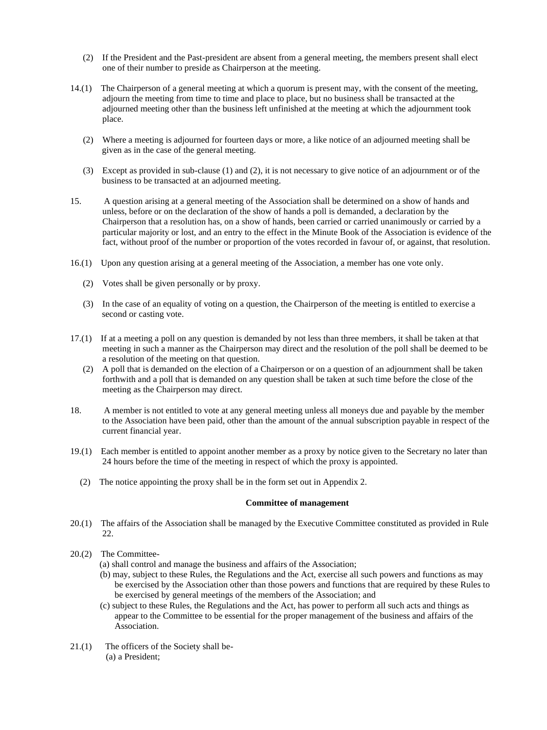- (2) If the President and the Past-president are absent from a general meeting, the members present shall elect one of their number to preside as Chairperson at the meeting.
- 14.(1) The Chairperson of a general meeting at which a quorum is present may, with the consent of the meeting, adjourn the meeting from time to time and place to place, but no business shall be transacted at the adjourned meeting other than the business left unfinished at the meeting at which the adjournment took place.
	- (2) Where a meeting is adjourned for fourteen days or more, a like notice of an adjourned meeting shall be given as in the case of the general meeting.
	- (3) Except as provided in sub-clause (1) and (2), it is not necessary to give notice of an adjournment or of the business to be transacted at an adjourned meeting.
- 15. A question arising at a general meeting of the Association shall be determined on a show of hands and unless, before or on the declaration of the show of hands a poll is demanded, a declaration by the Chairperson that a resolution has, on a show of hands, been carried or carried unanimously or carried by a particular majority or lost, and an entry to the effect in the Minute Book of the Association is evidence of the fact, without proof of the number or proportion of the votes recorded in favour of, or against, that resolution.
- 16.(1) Upon any question arising at a general meeting of the Association, a member has one vote only.
	- (2) Votes shall be given personally or by proxy.
	- (3) In the case of an equality of voting on a question, the Chairperson of the meeting is entitled to exercise a second or casting vote.
- 17.(1) If at a meeting a poll on any question is demanded by not less than three members, it shall be taken at that meeting in such a manner as the Chairperson may direct and the resolution of the poll shall be deemed to be a resolution of the meeting on that question.
	- (2) A poll that is demanded on the election of a Chairperson or on a question of an adjournment shall be taken forthwith and a poll that is demanded on any question shall be taken at such time before the close of the meeting as the Chairperson may direct.
- 18. A member is not entitled to vote at any general meeting unless all moneys due and payable by the member to the Association have been paid, other than the amount of the annual subscription payable in respect of the current financial year.
- 19.(1) Each member is entitled to appoint another member as a proxy by notice given to the Secretary no later than 24 hours before the time of the meeting in respect of which the proxy is appointed.
	- (2) The notice appointing the proxy shall be in the form set out in Appendix 2.

#### **Committee of management**

- 20.(1) The affairs of the Association shall be managed by the Executive Committee constituted as provided in Rule 22.
- 20.(2) The Committee-
	- (a) shall control and manage the business and affairs of the Association;
	- (b) may, subject to these Rules, the Regulations and the Act, exercise all such powers and functions as may be exercised by the Association other than those powers and functions that are required by these Rules to be exercised by general meetings of the members of the Association; and
	- (c) subject to these Rules, the Regulations and the Act, has power to perform all such acts and things as appear to the Committee to be essential for the proper management of the business and affairs of the Association.
- 21.(1) The officers of the Society shall be- (a) a President;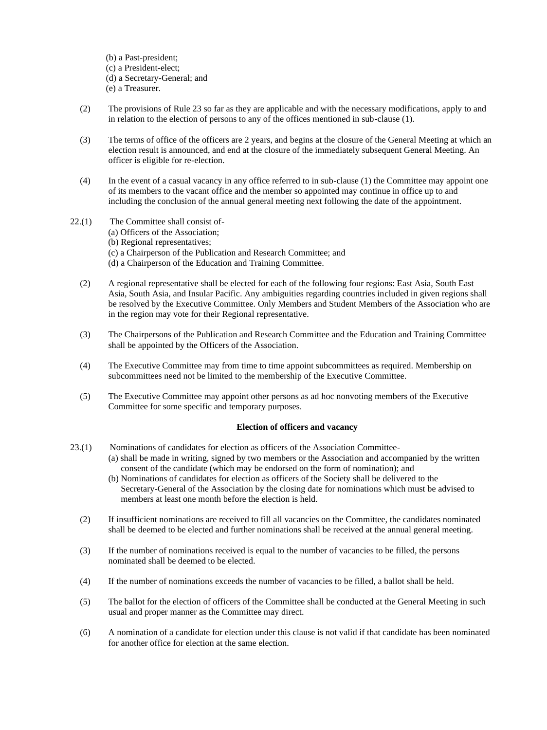(b) a Past-president; (c) a President-elect; (d) a Secretary-General; and (e) a Treasurer.

- (2) The provisions of Rule 23 so far as they are applicable and with the necessary modifications, apply to and in relation to the election of persons to any of the offices mentioned in sub-clause (1).
- (3) The terms of office of the officers are 2 years, and begins at the closure of the General Meeting at which an election result is announced, and end at the closure of the immediately subsequent General Meeting. An officer is eligible for re-election.
- (4) In the event of a casual vacancy in any office referred to in sub-clause (1) the Committee may appoint one of its members to the vacant office and the member so appointed may continue in office up to and including the conclusion of the annual general meeting next following the date of the appointment.
- 22.(1) The Committee shall consist of- (a) Officers of the Association; (b) Regional representatives; (c) a Chairperson of the Publication and Research Committee; and (d) a Chairperson of the Education and Training Committee.
	- (2) A regional representative shall be elected for each of the following four regions: East Asia, South East Asia, South Asia, and Insular Pacific. Any ambiguities regarding countries included in given regions shall be resolved by the Executive Committee. Only Members and Student Members of the Association who are in the region may vote for their Regional representative.
	- (3) The Chairpersons of the Publication and Research Committee and the Education and Training Committee shall be appointed by the Officers of the Association.
	- (4) The Executive Committee may from time to time appoint subcommittees as required. Membership on subcommittees need not be limited to the membership of the Executive Committee.
	- (5) The Executive Committee may appoint other persons as ad hoc nonvoting members of the Executive Committee for some specific and temporary purposes.

## **Election of officers and vacancy**

- 23.(1) Nominations of candidates for election as officers of the Association Committee-
	- (a) shall be made in writing, signed by two members or the Association and accompanied by the written consent of the candidate (which may be endorsed on the form of nomination); and
	- (b) Nominations of candidates for election as officers of the Society shall be delivered to the Secretary-General of the Association by the closing date for nominations which must be advised to members at least one month before the election is held.
	- (2) If insufficient nominations are received to fill all vacancies on the Committee, the candidates nominated shall be deemed to be elected and further nominations shall be received at the annual general meeting.
	- (3) If the number of nominations received is equal to the number of vacancies to be filled, the persons nominated shall be deemed to be elected.
	- (4) If the number of nominations exceeds the number of vacancies to be filled, a ballot shall be held.
	- (5) The ballot for the election of officers of the Committee shall be conducted at the General Meeting in such usual and proper manner as the Committee may direct.
	- (6) A nomination of a candidate for election under this clause is not valid if that candidate has been nominated for another office for election at the same election.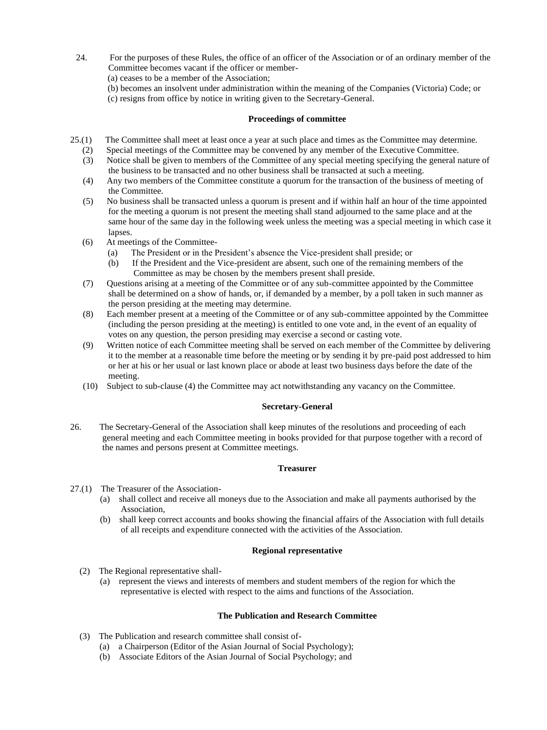- 24. For the purposes of these Rules, the office of an officer of the Association or of an ordinary member of the Committee becomes vacant if the officer or member-
	- (a) ceases to be a member of the Association;
	- (b) becomes an insolvent under administration within the meaning of the Companies (Victoria) Code; or
	- (c) resigns from office by notice in writing given to the Secretary-General.

## **Proceedings of committee**

- 25.(1) The Committee shall meet at least once a year at such place and times as the Committee may determine.
	- (2) Special meetings of the Committee may be convened by any member of the Executive Committee.
	- (3) Notice shall be given to members of the Committee of any special meeting specifying the general nature of the business to be transacted and no other business shall be transacted at such a meeting.
	- (4) Any two members of the Committee constitute a quorum for the transaction of the business of meeting of the Committee.
	- (5) No business shall be transacted unless a quorum is present and if within half an hour of the time appointed for the meeting a quorum is not present the meeting shall stand adjourned to the same place and at the same hour of the same day in the following week unless the meeting was a special meeting in which case it lapses.
	- (6) At meetings of the Committee-
		- (a) The President or in the President's absence the Vice-president shall preside; or
		- (b) If the President and the Vice-president are absent, such one of the remaining members of the Committee as may be chosen by the members present shall preside.
	- (7) Questions arising at a meeting of the Committee or of any sub-committee appointed by the Committee shall be determined on a show of hands, or, if demanded by a member, by a poll taken in such manner as the person presiding at the meeting may determine.
	- (8) Each member present at a meeting of the Committee or of any sub-committee appointed by the Committee (including the person presiding at the meeting) is entitled to one vote and, in the event of an equality of votes on any question, the person presiding may exercise a second or casting vote.
	- (9) Written notice of each Committee meeting shall be served on each member of the Committee by delivering it to the member at a reasonable time before the meeting or by sending it by pre-paid post addressed to him or her at his or her usual or last known place or abode at least two business days before the date of the meeting.
	- (10) Subject to sub-clause (4) the Committee may act notwithstanding any vacancy on the Committee.

## **Secretary-General**

26. The Secretary-General of the Association shall keep minutes of the resolutions and proceeding of each general meeting and each Committee meeting in books provided for that purpose together with a record of the names and persons present at Committee meetings.

## **Treasurer**

- 27.(1) The Treasurer of the Association-
	- (a) shall collect and receive all moneys due to the Association and make all payments authorised by the Association,
	- (b) shall keep correct accounts and books showing the financial affairs of the Association with full details of all receipts and expenditure connected with the activities of the Association.

## **Regional representative**

- (2) The Regional representative shall-
	- (a) represent the views and interests of members and student members of the region for which the representative is elected with respect to the aims and functions of the Association.

## **The Publication and Research Committee**

- (3) The Publication and research committee shall consist of-
	- (a) a Chairperson (Editor of the Asian Journal of Social Psychology);
	- (b) Associate Editors of the Asian Journal of Social Psychology; and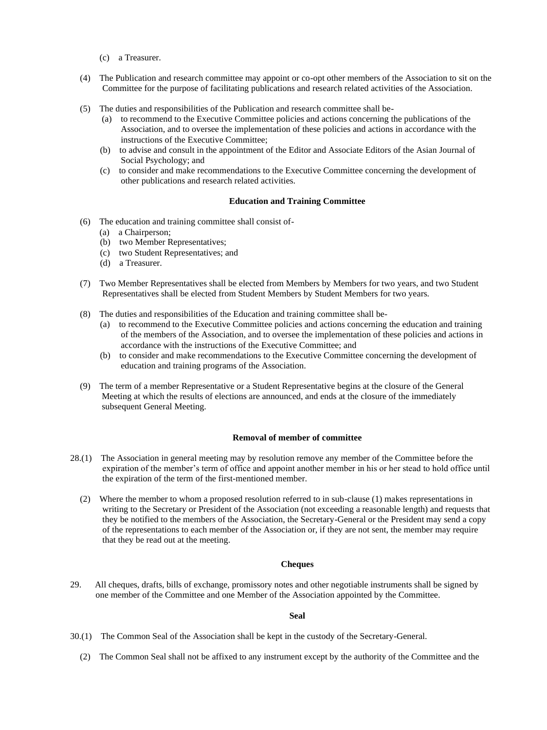- (c) a Treasurer.
- (4) The Publication and research committee may appoint or co-opt other members of the Association to sit on the Committee for the purpose of facilitating publications and research related activities of the Association.
- (5) The duties and responsibilities of the Publication and research committee shall be-
	- (a) to recommend to the Executive Committee policies and actions concerning the publications of the Association, and to oversee the implementation of these policies and actions in accordance with the instructions of the Executive Committee;
	- (b) to advise and consult in the appointment of the Editor and Associate Editors of the Asian Journal of Social Psychology; and
	- (c) to consider and make recommendations to the Executive Committee concerning the development of other publications and research related activities.

#### **Education and Training Committee**

- (6) The education and training committee shall consist of-
	- (a) a Chairperson;
	- (b) two Member Representatives;
	- (c) two Student Representatives; and
	- (d) a Treasurer.
- (7) Two Member Representatives shall be elected from Members by Members for two years, and two Student Representatives shall be elected from Student Members by Student Members for two years.
- (8) The duties and responsibilities of the Education and training committee shall be-
	- (a) to recommend to the Executive Committee policies and actions concerning the education and training of the members of the Association, and to oversee the implementation of these policies and actions in accordance with the instructions of the Executive Committee; and
	- (b) to consider and make recommendations to the Executive Committee concerning the development of education and training programs of the Association.
- (9) The term of a member Representative or a Student Representative begins at the closure of the General Meeting at which the results of elections are announced, and ends at the closure of the immediately subsequent General Meeting.

#### **Removal of member of committee**

- 28.(1) The Association in general meeting may by resolution remove any member of the Committee before the expiration of the member's term of office and appoint another member in his or her stead to hold office until the expiration of the term of the first-mentioned member.
	- (2) Where the member to whom a proposed resolution referred to in sub-clause (1) makes representations in writing to the Secretary or President of the Association (not exceeding a reasonable length) and requests that they be notified to the members of the Association, the Secretary-General or the President may send a copy of the representations to each member of the Association or, if they are not sent, the member may require that they be read out at the meeting.

#### **Cheques**

29. All cheques, drafts, bills of exchange, promissory notes and other negotiable instruments shall be signed by one member of the Committee and one Member of the Association appointed by the Committee.

#### **Seal**

(2) The Common Seal shall not be affixed to any instrument except by the authority of the Committee and the

<sup>30.(1)</sup> The Common Seal of the Association shall be kept in the custody of the Secretary-General.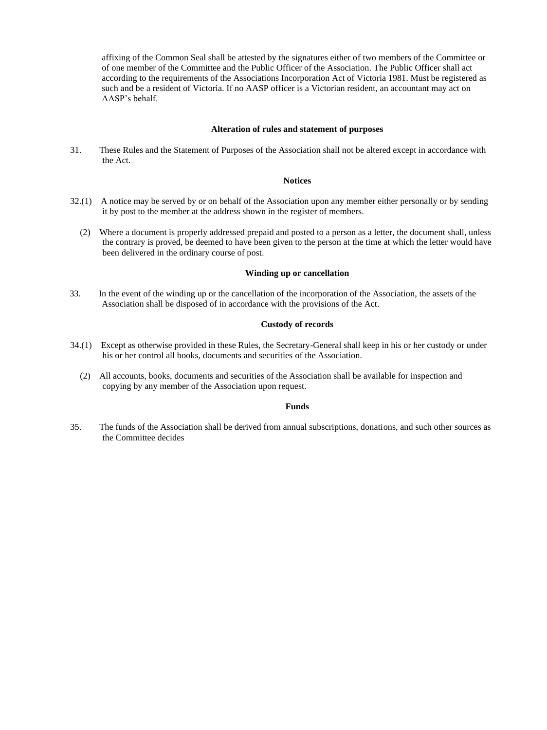affixing of the Common Seal shall be attested by the signatures either of two members of the Committee or of one member of the Committee and the Public Officer of the Association. The Public Officer shall act according to the requirements of the Associations Incorporation Act of Victoria 1981. Must be registered as such and be a resident of Victoria. If no AASP officer is a Victorian resident, an accountant may act on AASP's behalf.

#### **Alteration of rules and statement of purposes**

31. These Rules and the Statement of Purposes of the Association shall not be altered except in accordance with the Act.

#### **Notices**

- 32.(1) A notice may be served by or on behalf of the Association upon any member either personally or by sending it by post to the member at the address shown in the register of members.
	- (2) Where a document is properly addressed prepaid and posted to a person as a letter, the document shall, unless the contrary is proved, be deemed to have been given to the person at the time at which the letter would have been delivered in the ordinary course of post.

#### **Winding up or cancellation**

33. In the event of the winding up or the cancellation of the incorporation of the Association, the assets of the Association shall be disposed of in accordance with the provisions of the Act.

#### **Custody of records**

- 34.(1) Except as otherwise provided in these Rules, the Secretary-General shall keep in his or her custody or under his or her control all books, documents and securities of the Association.
	- (2) All accounts, books, documents and securities of the Association shall be available for inspection and copying by any member of the Association upon request.

#### **Funds**

35. The funds of the Association shall be derived from annual subscriptions, donations, and such other sources as the Committee decides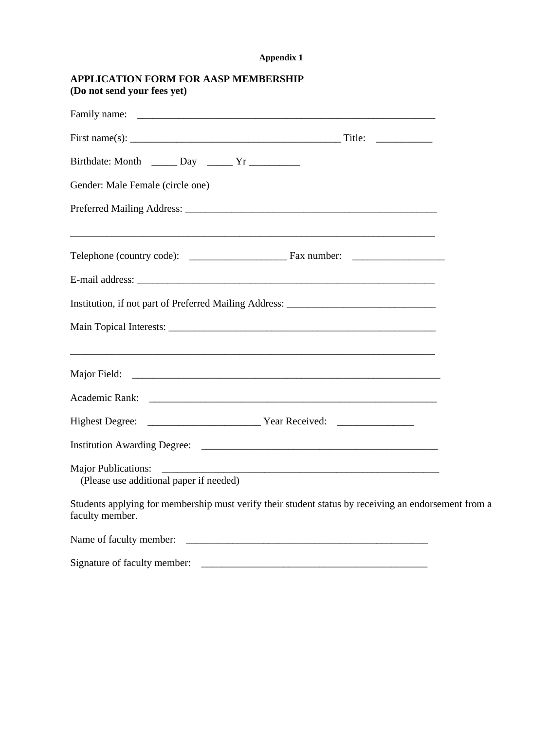## **Appendix 1**

|                             | <b>APPLICATION FORM FOR AASP MEMBERSHIP</b> |  |
|-----------------------------|---------------------------------------------|--|
| (Do not send your fees yet) |                                             |  |

| Gender: Male Female (circle one)                                                  |                                                                                                                       |  |
|-----------------------------------------------------------------------------------|-----------------------------------------------------------------------------------------------------------------------|--|
|                                                                                   |                                                                                                                       |  |
|                                                                                   |                                                                                                                       |  |
|                                                                                   |                                                                                                                       |  |
| Institution, if not part of Preferred Mailing Address: __________________________ |                                                                                                                       |  |
|                                                                                   |                                                                                                                       |  |
|                                                                                   |                                                                                                                       |  |
|                                                                                   |                                                                                                                       |  |
|                                                                                   |                                                                                                                       |  |
|                                                                                   |                                                                                                                       |  |
| (Please use additional paper if needed)                                           |                                                                                                                       |  |
| faculty member.                                                                   | Students applying for membership must verify their student status by receiving an endorsement from a                  |  |
| Name of faculty member:                                                           | <u> 1989 - Johann Harry Harry Harry Harry Harry Harry Harry Harry Harry Harry Harry Harry Harry Harry Harry Harry</u> |  |

Signature of faculty member: \_\_\_\_\_\_\_\_\_\_\_\_\_\_\_\_\_\_\_\_\_\_\_\_\_\_\_\_\_\_\_\_\_\_\_\_\_\_\_\_\_\_\_\_